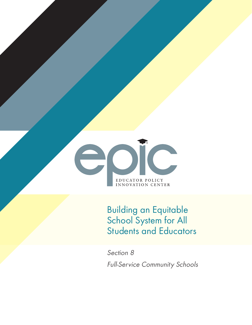

Building an Equitable School System for All Students and Educators

Section 8 Full-Service Community Schools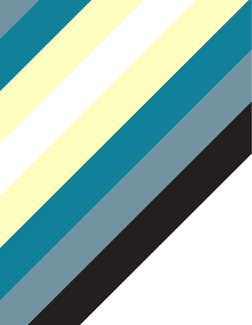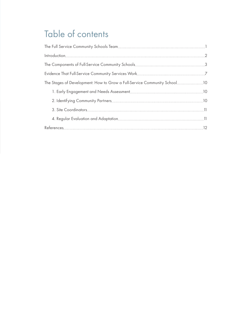# Table of contents

| Introduction 2                                                           |  |
|--------------------------------------------------------------------------|--|
|                                                                          |  |
|                                                                          |  |
| The Stages of Development: How to Grow a Full-Service Community School10 |  |
|                                                                          |  |
|                                                                          |  |
|                                                                          |  |
|                                                                          |  |
|                                                                          |  |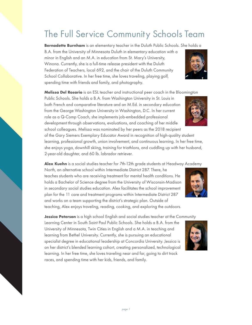# The Full Service Community Schools Team

**Bernadette Burnham** is an elementary teacher in the Duluth Public Schools. She holds a

B.A. from the University of Minnesota Duluth in elementary education with a minor in English and an M.A. in education from St. Mary's University, Winona. Currently, she is a full-time release president with the Duluth Federation of Teachers, local 692, and the chair of the Duluth Community School Collaborative. In her free time, she loves traveling, playing golf, spending time with friends and family, and photography.

**Melissa Del Rosario** is an ESL teacher and instructional peer coach in the Bloomington

Public Schools. She holds a B.A. from Washington University in St. Louis in both French and comparative literature and an M.Ed. in secondary education from the George Washington University in Washington, D.C. In her current role as a Q-Comp Coach, she implements job-embedded professional development through observations, evaluations, and coaching of her middle

school colleagues. Melissa was nominated by her peers as the 2018 recipient of the Gary Siemers Exemplary Educator Award in recognition of high-quality student learning, professional growth, union involvement, and continuous learning. In her free time, she enjoys yoga, downhill skiing, training for triathlons, and cuddling up with her husband, 2-year-old daughter, and 60 lb. labrador retriever.

**Alex Kuehn** is a social studies teacher for 7th-12th grade students at Headway Academy

North, an alternative school within Intermediate District 287. There, he teaches students who are receiving treatment for mental health conditions. He holds a Bachelor of Science degree from the University of Wisconsin-Madison in secondary social studies education. Alex facilitates the school improvement plan for the 11 care and treatment programs within Intermediate District 287 and works on a team supporting the district's strategic plan. Outside of teaching, Alex enjoys traveling, reading, cooking, and exploring the outdoors.

**Jessica Peterson** is a high school English and social studies teacher at the Community

Learning Center in South Saint Paul Public Schools. She holds a B.A. from the University of Minnesota, Twin Cities in English and a M.A. in teaching and learning from Bethel University. Currently, she is pursuing an educational specialist degree in educational leadership at Concordia University. Jessica is on her district's blended learning cohort, creating personalized, technological learning. In her free time, she loves traveling near and far, going to dirt track races, and spending time with her kids, friends, and family.





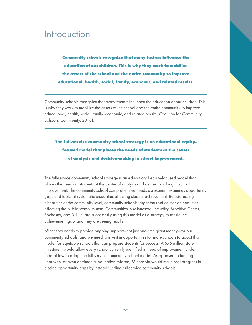## **Introduction**

**Community schools recognize that many factors influence the education of our children. This is why they work to mobilize the assets of the school and the entire community to improve educational, health, social, family, economic, and related results.**

Community schools recognize that many factors influence the education of our children. This is why they work to mobilize the assets of the school and the entire community to improve educational, health, social, family, economic, and related results (Coalition for Community Schools, Community, 2018).

**The full-service community school strategy is an educational equityfocused model that places the needs of students at the center of analysis and decision-making in school improvement.**

The full-service community school strategy is an educational equity-focused model that places the needs of students at the center of analysis and decision-making in school improvement. The community school comprehensive needs assessment examines opportunity gaps and looks at systematic disparities affecting student achievement. By addressing disparities at the community level, community schools target the root causes of inequities affecting the public school system. Communities in Minnesota, including Brooklyn Center, Rochester, and Duluth, are successfully using this model as a strategy to tackle the achievement gap, and they are seeing results.

Minnesota needs to provide ongoing support—not just one-time grant money—for our community schools, and we need to invest in opportunities for more schools to adopt this model for equitable schools that can prepare students for success. A \$75 million state investment would allow every school currently identified in need of improvement under federal law to adopt the full-service community school model. As opposed to funding unproven, or even detrimental education reforms, Minnesota would make real progress in closing opportunity gaps by instead funding full-service community schools.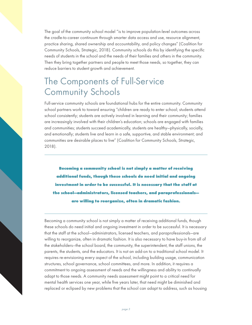The goal of the community school model "is to improve population-level outcomes across the cradle-to-career continuum through smarter data access and use, resource alignment, practice sharing, shared ownership and accountability, and policy changes" (Coalition for Community Schools, Strategic, 2018). Community schools do this by identifying the specific needs of students in the school and the needs of their families and others in the community. Then they bring together partners and people to meet those needs, so together, they can reduce barriers to student growth and achievement.

## The Components of Full-Service Community Schools

Full-service community schools are foundational hubs for the entire community. Community school partners work to toward ensuring "children are ready to enter school; students attend school consistently; students are actively involved in learning and their community; families are increasingly involved with their children's education; schools are engaged with families and communities; students succeed academically, students are healthy—physically, socially, and emotionally; students live and learn in a safe, supportive, and stable environment; and communities are desirable places to live" (Coalition for Community Schools, Strategic, 2018).

**Becoming a community school is not simply a matter of receiving additional funds, though these schools do need initial and ongoing investment in order to be successful. It is necessary that the staff at the school—administrators, licensed teachers, and paraprofessionals are willing to reorganize, often in dramatic fashion.**

Becoming a community school is not simply a matter of receiving additional funds, though these schools do need initial and ongoing investment in order to be successful. It is necessary that the staff at the school—administrators, licensed teachers, and paraprofessionals—are willing to reorganize, often in dramatic fashion. It is also necessary to have buy-in from all of the stakeholders—the school board, the community, the superintendent, the staff unions, the parents, the students, and the educators. It is not an add-on to a traditional school model. It requires re-envisioning every aspect of the school, including building usage, communication structures, school governance, school committees, and more. In addition, it requires a commitment to ongoing assessment of needs and the willingness and ability to continually adapt to those needs. A community needs assessment might point to a critical need for mental health services one year, while five years later, that need might be diminished and replaced or eclipsed by new problems that the school can adapt to address, such as housing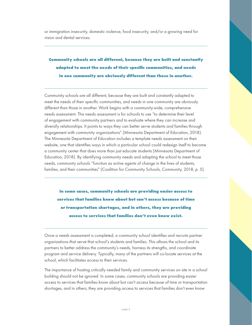or immigration insecurity, domestic violence, food insecurity, and/or a growing need for vision and dental services.

## **Community schools are all different, because they are built and constantly adapted to meet the needs of their specific communities, and needs in one community are obviously different than those in another.**

Community schools are all different, because they are built and constantly adapted to meet the needs of their specific communities, and needs in one community are obviously different than those in another. Work begins with a community-wide, comprehensive needs assessment. This needs assessment is for schools to use "to determine their level of engagement with community partners and to evaluate where they can increase and diversify relationships. It points to ways they can better serve students and families through engagement with community organizations" (Minnesota Department of Education, 2018). The Minnesota Department of Education includes a template needs assessment on their website, one that identifies ways in which a particular school could redesign itself to become a community center that does more than just educate students (Minnesota Department of Education, 2018). By identifying community needs and adapting the school to meet those needs, community schools "function as active agents of change in the lives of students, families, and their communities" (Coalition for Community Schools, Community, 2018, p. 5).

**In some cases, community schools are providing easier access to services that families know about but can't access because of time or transportation shortages, and in others, they are providing access to services that families don't even know exist.**

Once a needs assessment is completed, a community school identifies and recruits partner organizations that serve that school's students and families. This allows the school and its partners to better address the community's needs, harness its strengths, and coordinate program and service delivery. Typically, many of the partners will co-locate services at the school, which facilitates access to their services.

The importance of hosting critically needed family and community services on site in a school building should not be ignored. In some cases, community schools are providing easier access to services that families know about but can't access because of time or transportation shortages, and in others, they are providing access to services that families don't even know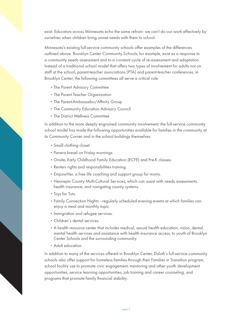exist. Educators across Minnesota echo the same refrain: we can't do our work effectively by ourselves when children bring unmet needs with them to school.

Minnesota's existing full-service community schools offer examples of the differences outlined above. Brooklyn Center Community Schools, for example, exist as a response to a community needs assessment and to a constant cycle of re-assessment and adaptation. Instead of a traditional school model that offers two types of involvement for adults not on staff at the school, parent-teacher associations (PTA) and parent-teacher conferences, in Brooklyn Center, the following committees all serve a critical role:

- •The Parent Advisory Committee
- •The Parent Teacher Organization
- •The Parent-Ambassador/Affinity Group
- •The Community Education Advisory Council
- The District Wellness Committee

In addition to the more deeply engrained community involvement, the full-service community school model has made the following opportunities available for families in the community at its Community Corner and in the school buildings themselves:

- •Small clothing closet.
- Panera bread on Friday mornings.
- Onsite, Early Childhood Family Education (ECFE) and Pre-K classes.
- •Renters rights and responsibilities training.
- •EmpowHer, a free life coaching and support group for moms.
- •Hennepin County Multi-Cultural Services, which can assist with needs assessments, health insurance, and navigating county systems.
- Toys for Tots.
- •Family Connection Nights regularly scheduled evening events at which families can enjoy a meal and monthly topic.
- •Immigration and refugee services.
- Children's dental services.
- A health resource center that includes medical, sexual health education, vision, dental, mental health services and assistance with health insurance access, to youth of Brooklyn Center Schools and the surrounding community.
- Adult education.

In addition to many of the services offered in Brooklyn Center, Duluth's full-service community schools also offer support for homeless families through their Families in Transition program, school facility use to promote civic engagement, mentoring and other youth development opportunities, service learning opportunities, job training and career counseling, and programs that promote family financial stability.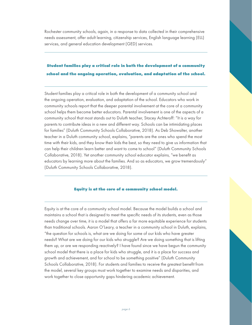Rochester community schools, again, in a response to data collected in their comprehensive needs assessment, offer adult learning, citizenship services, English language learning (ELL) services, and general education development (GED) services.

### **Student families play a critical role in both the development of a community school and the ongoing operation, evaluation, and adaptation of the school.**

Student families play a critical role in both the development of a community school and the ongoing operation, evaluation, and adaptation of the school. Educators who work in community schools report that the deeper parental involvement at the core of a community school helps them become better educators. Parental involvement is one of the aspects of a community school that most stands out to Duluth teacher, Stacey Achteroff: "It is a way for parents to contribute ideas in a new and different way. Schools can be intimidating places for families" (Duluth Community Schools Collaborative, 2018). As Deb Showalter, another teacher in a Duluth community school, explains, "parents are the ones who spend the most time with their kids, and they know their kids the best, so they need to give us information that can help their children learn better and want to come to school" (Duluth Community Schools Collaborative, 2018). Yet another community school educator explains, "we benefit as educators by learning more about the families. And so as educators, we grow tremendously" (Duluth Community Schools Collaborative, 2018).

#### **Equity is at the core of a community school model.**

Equity is at the core of a community school model. Because the model builds a school and maintains a school that is designed to meet the specific needs of its students, even as those needs change over time, it is a model that offers a far more equitable experience for students than traditional schools. Aaron O'Leary, a teacher in a community school in Duluth, explains, "the question for schools is, what are we doing for some of our kids who have greater needs? What are we doing for our kids who struggle? Are we doing something that is lifting them up, or are we responding reactively? I have found since we have begun the community school model that there is a place for kids who struggle, and it is a place for success and growth and achievement, and for school to be something positive" (Duluth Community Schools Collaborative, 2018). For students and families to receive the greatest benefit from the model, several key groups must work together to examine needs and disparities, and work together to close opportunity gaps hindering academic achievement.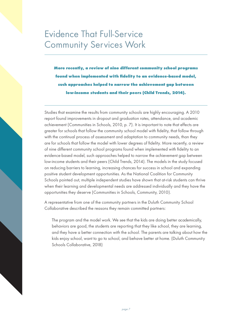## Evidence That Full-Service Community Services Work

**More recently, a review of nine different community school programs found when implemented with fidelity to an evidence-based model, such approaches helped to narrow the achievement gap between low-income students and their peers (Child Trends, 2014).**

Studies that examine the results from community schools are highly encouraging. A 2010 report found improvements in dropout and graduation rates, attendance, and academic achievement (Communities in Schools, 2010, p. 7). It is important to note that effects are greater for schools that follow the community school model with fidelity, that follow through with the continual process of assessment and adaptation to community needs, than they are for schools that follow the model with lower degrees of fidelity. More recently, a review of nine different community school programs found when implemented with fidelity to an evidence-based model, such approaches helped to narrow the achievement gap between low-income students and their peers (Child Trends, 2014). The models in the study focused on reducing barriers to learning, increasing chances for success in school and expanding positive student development opportunities. As the National Coalition for Community Schools pointed out, multiple independent studies have shown that at-risk students can thrive when their learning and developmental needs are addressed individually and they have the opportunities they deserve (Communities in Schools, Community, 2010).

A representative from one of the community partners in the Duluth Community School Collaborative described the reasons they remain committed partners:

The program and the model work. We see that the kids are doing better academically, behaviors are good, the students are reporting that they like school, they are learning, and they have a better connection with the school. The parents are talking about how the kids enjoy school, want to go to school, and behave better at home. (Duluth Community Schools Collaborative, 2018)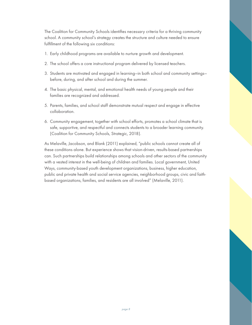The Coalition for Community Schools identifies necessary criteria for a thriving community school. A community school's strategy creates the structure and culture needed to ensure fulfillment of the following six conditions:

- 1. Early childhood programs are available to nurture growth and development.
- 2. The school offers a core instructional program delivered by licensed teachers.
- 3. Students are motivated and engaged in learning—in both school and community settings before, during, and after school and during the summer.
- 4. The basic physical, mental, and emotional health needs of young people and their families are recognized and addressed.
- 5. Parents, families, and school staff demonstrate mutual respect and engage in effective collaboration.
- 6. Community engagement, together with school efforts, promotes a school climate that is safe, supportive, and respectful and connects students to a broader learning community. (Coalition for Community Schools, Strategic, 2018).

As Melaville, Jacobson, and Blank (2011) explained, "public schools cannot create all of these conditions alone. But experience shows that vision-driven, results-based partnerships can. Such partnerships build relationships among schools and other sectors of the community with a vested interest in the well-being of children and families. Local government, United Ways, community-based youth development organizations, business, higher education, public and private health and social service agencies, neighborhood groups, civic and faithbased organizations, families, and residents are all involved" (Melaville, 2011).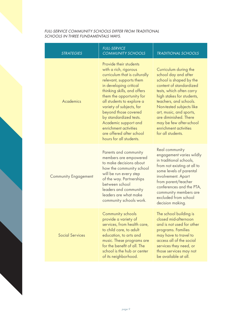#### FULL-SERVICE COMMUNITY SCHOOLS DIFFER FROM TRADITIONAL SCHOOLS IN THREE FUNDAMENTALS WAYS.

| <b>STRATEGIES</b>           | <b>FULL-SERVICE</b><br><b>COMMUNITY SCHOOLS</b>                                                                                                                                                                                                                                                                                                                                                                     | <b>TRADITIONAL SCHOOLS</b>                                                                                                                                                                                                                                                                                                                      |
|-----------------------------|---------------------------------------------------------------------------------------------------------------------------------------------------------------------------------------------------------------------------------------------------------------------------------------------------------------------------------------------------------------------------------------------------------------------|-------------------------------------------------------------------------------------------------------------------------------------------------------------------------------------------------------------------------------------------------------------------------------------------------------------------------------------------------|
| Academics                   | Provide their students<br>with a rich, rigorous<br>curriculum that is culturally<br>relevant, supports them<br>in developing critical<br>thinking skills, and offers<br>them the opportunity for<br>all students to explore a<br>variety of subjects, far<br>beyond those covered<br>by standardized tests.<br>Academic support and<br>enrichment activities<br>are offered after school<br>hours for all students. | Curriculum during the<br>school day and after<br>school is shaped by the<br>content of standardized<br>tests, which often carry<br>high stakes for students,<br>teachers, and schools.<br>Non-tested subjects like<br>art, music, and sports,<br>are diminished. There<br>may be few after-school<br>enrichment activities<br>for all students. |
| <b>Community Engagement</b> | Parents and community<br>members are empowered<br>to make decisions about<br>how the community school<br>will be run every step<br>of the way. Partnerships<br>between school<br>leaders and community<br>leaders are what make<br>community schools work.                                                                                                                                                          | Real community<br>engagement varies wildly<br>in traditional schools,<br>from not existing at all to<br>some levels of parental<br>involvement. Apart<br>from parent/teacher<br>conferences and the PTA,<br>community members are<br>excluded from school<br>decision making.                                                                   |
| <b>Social Services</b>      | Community schools<br>provide a variety of<br>services, from health care,<br>to child care, to adult<br>education, to arts and<br>music. These programs are<br>for the benefit of all. The<br>school is the hub or center<br>of its neighborhood.                                                                                                                                                                    | The school building is<br>closed mid-afternoon<br>and is not used for other<br>programs. Families<br>may have to travel to<br>access all of the social<br>services they need, or<br>those services may not<br>be available at all.                                                                                                              |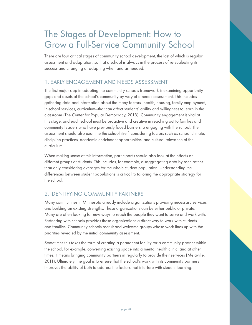## The Stages of Development: How to Grow a Full-Service Community School

There are four critical stages of community school development, the last of which is regular assessment and adaptation, so that a school is always in the process of re-evaluating its success and changing or adapting when and as needed.

### 1. EARLY ENGAGEMENT AND NEEDS ASSESSMENT

The first major step in adopting the community schools framework is examining opportunity gaps and assets of the school's community by way of a needs assessment. This includes gathering data and information about the many factors—health, housing, family employment, in-school services, curriculum—that can affect students' ability and willingness to learn in the classroom (The Center for Popular Democracy, 2018). Community engagement is vital at this stage, and each school must be proactive and creative in reaching out to families and community leaders who have previously faced barriers to engaging with the school. The assessment should also examine the school itself, considering factors such as school climate, discipline practices, academic enrichment opportunities, and cultural relevance of the curriculum.

When making sense of this information, participants should also look at the effects on different groups of students. This includes, for example, disaggregating data by race rather than only considering averages for the whole student population. Understanding the differences between student populations is critical to tailoring the appropriate strategy for the school.

## 2. IDENTIFYING COMMUNITY PARTNERS

Many communities in Minnesota already include organizations providing necessary services and building on existing strengths. These organizations can be either public or private. Many are often looking for new ways to reach the people they want to serve and work with. Partnering with schools provides these organizations a direct way to work with students and families. Community schools recruit and welcome groups whose work lines up with the priorities revealed by the initial community assessment.

Sometimes this takes the form of creating a permanent facility for a community partner within the school, for example, converting existing space into a mental health clinic, and at other times, it means bringing community partners in regularly to provide their services (Melaville, 2011). Ultimately, the goal is to ensure that the school's work with its community partners improves the ability of both to address the factors that interfere with student learning.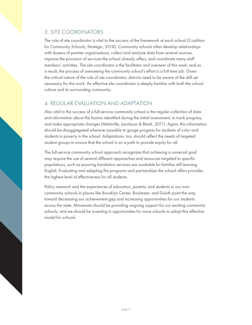### 3. SITE COORDINATORS

The role of site coordinator is vital to the success of the framework at each school (Coalition for Community Schools, Strategic, 2018). Community schools often develop relationships with dozens of partner organizations, collect and analyze data from several sources, improve the provision of services the school already offers, and coordinate many staff members' activities. The site coordinator is the facilitator and overseer of this work, and as a result, the process of overseeing the community school's effort is a full-time job. Given the critical nature of the role of site coordinator, districts need to be aware of the skill set necessary for this work. An effective site coordinator is deeply familiar with both the school culture and its surrounding community.

### 4. REGULAR EVALUATION AND ADAPTATION

Also vital to the success of a full-service community school is the regular collection of data and information about the factors identified during the initial assessment, to track progress, and make appropriate changes (Melaville, Jacobson & Blank, 2011). Again, this information should be disaggregated wherever possible to gauge progress for students of color and students in poverty in the school. Adaptations, too, should reflect the needs of targeted student groups to ensure that the school is on a path to provide equity for all.

The full-service community school approach recognizes that achieving a universal goal may require the use of several different approaches and resources targeted to specific populations, such as ensuring translation services are available for families still learning English. Evaluating and adapting the programs and partnerships the school offers provides the highest level of effectiveness for all students.

Policy research and the experiences of educators, parents, and students in our own community schools in places like Brooklyn Center, Rochester, and Duluth point the way toward decreasing our achievement gap and increasing opportunities for our students across the state. Minnesota should be providing ongoing support for our existing community schools, and we should be investing in opportunities for more schools to adopt this effective model for schools.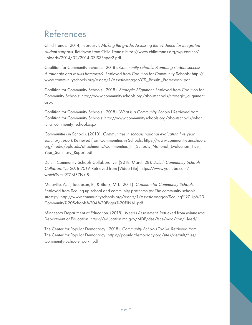# References

Child Trends. (2014, February). Making the grade: Assessing the evidence for integrated student supports. Retrieved from Child Trends: https://www.childtrends.org/wp-content/ uploads/2014/02/2014-07ISSPaper2.pdf

Coalition for Community Schools. (2018). Community schools: Promoting student success. A rationale and results framework. Retrieved from Coalition for Community Schools: http:// www.communityschools.org/assets/1/AssetManager/CS\_Results\_Framework.pdf

Coalition for Community Schools. (2018). Strategic Alignment. Retrieved from Coalition for Community Schools: http://www.communityschools.org/aboutschools/strategic\_alignment. aspx

Coalition for Community Schools. (2018). What is a Community School? Retrieved from Coalition for Community Schools: http://www.communityschools.org/aboutschools/what\_ is\_a\_community\_school.aspx

Communities in Schools. (2010). Communities in schools national evaluation five year summary report. Retrieved from Communities in Schools: https://www.communitiesinschools. org/media/uploads/attachments/Communities\_In\_Schools\_National\_Evaluation\_Five\_ Year\_Summary\_Report.pdf

Duluth Community Schools Collaborative. (2018, March 28). Duluth Community Schools Collaborative 2018-2019. Retrieved from [Video File]: https://www.youtube.com/ watch?v=u9TZME7Nzj8

Melaville, A. J., Jacobson, R., & Blank, M.J. (2011). Coalition for Community Schools. Retrieved from Scaling up school and community partnerships: The community schools strategy: http://www.communityschools.org/assets/1/AssetManager/Scaling%20Up%20 Community%20Schools%204%20Pager%20FINAL.pdf

Minnesota Department of Education. (2018). Needs Assessment. Retrieved from Minnesota Department of Education: https://education.mn.gov/MDE/dse/fsce/mod/con/Need/

The Center for Popular Democracy. (2018). Community Schools Toolkit. Retrieved from The Center for Popular Democracy: https://populardemocracy.org/sites/default/files/ Community-Schools-Toolkit.pdf